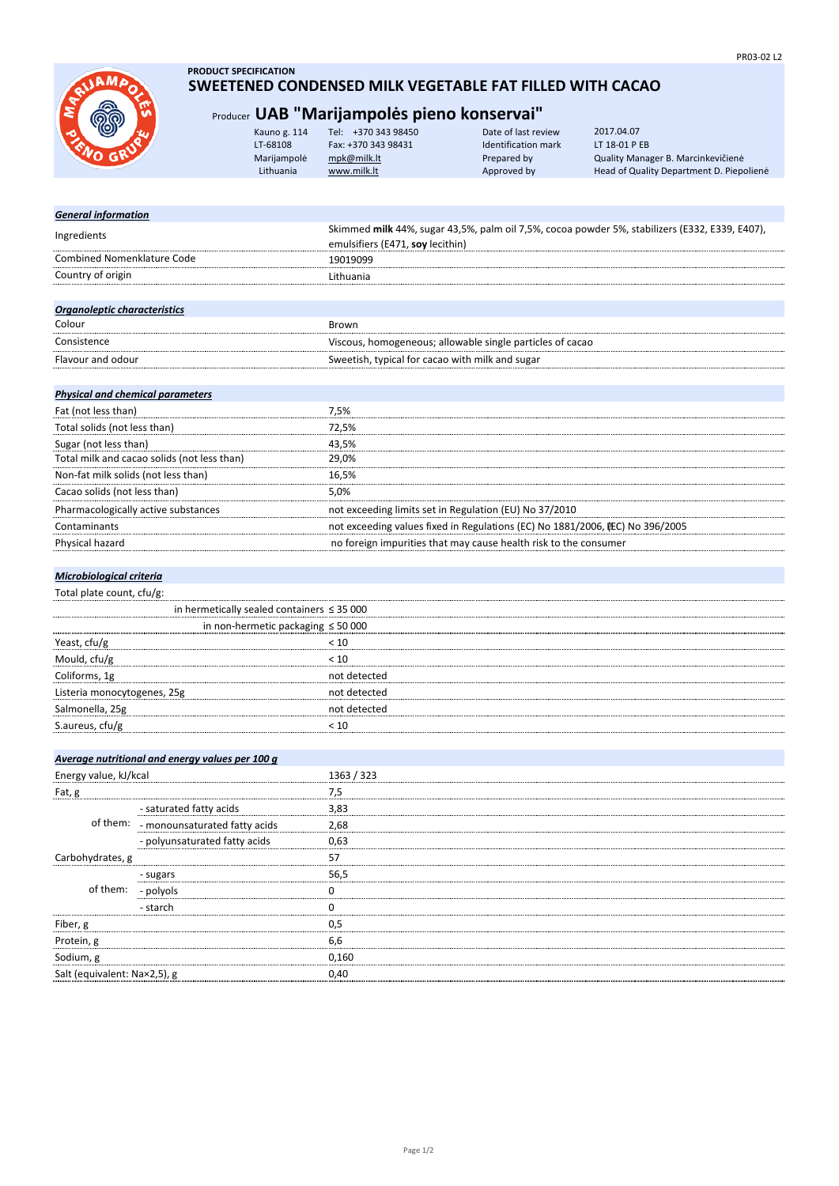**AM** 

## **PRODUCT SPECIFICATION SWEETENED CONDENSED MILK VEGETABLE FAT FILLED WITH CACAO**

# Producer **UAB "Marijampolės pieno konservai"**

|            | Kauno g. 114 | Tel: +370 343 98450 | Date of last review | 2017.04.07                               |
|------------|--------------|---------------------|---------------------|------------------------------------------|
| <b>SKA</b> | LT-68108     | Fax: +370 343 98431 | Identification mark | LT 18-01 P EB                            |
|            | Marijampolė  | mpk@milk.lt         | Prepared by         | Quality Manager B. Marcinkevičienė       |
|            | Lithuania    | www.milk.lt         | Approved by         | Head of Quality Department D. Piepolienė |
|            |              |                     |                     |                                          |

## *General information* Ingredients Skimmed **milk** 44%, sugar 43,5%, palm oil 7,5%, cocoa powder 5%, stabilizers (E332, E339, E407), emulsifiers (E471, **soy** lecithin) Combined Nomenklature Code 19019099<br>Combined Nomenklature Code 19019099<br>Pithuania **Country of origin** Lithuania *Organoleptic characteristics* <u>Colour Brown</u><br>
Miscous<br>
Viscous Consistence Viscous, homogeneous; allowable single particles of cacao Flavour and odour **Sweetish, typical for cacao with milk and sugar** Sweetish, typical for cacao with milk and sugar

| Physical and chemical parameters            |                                                                              |
|---------------------------------------------|------------------------------------------------------------------------------|
| Fat (not less than)                         | 7.5%                                                                         |
| Total solids (not less than)                | 72.5%                                                                        |
| Sugar (not less than)                       | 43.5%                                                                        |
| Total milk and cacao solids (not less than) | 29.0%                                                                        |
| Non-fat milk solids (not less than)         | 16.5%                                                                        |
| Cacao solids (not less than)                | 5.0%                                                                         |
| Pharmacologically active substances         | not exceeding limits set in Regulation (EU) No 37/2010                       |
| Contaminants                                | not exceeding values fixed in Regulations (EC) No 1881/2006, EC) No 396/2005 |
| <b>Physical hazard</b>                      | no foreign impurities that may cause health risk to the consumer             |
|                                             |                                                                              |

## *Microbiological criteria*

*Physical and chemical parameters*

| Total plate count, cfu/g:   |                                                 |  |
|-----------------------------|-------------------------------------------------|--|
|                             | in hermetically sealed containers $\leq$ 35 000 |  |
|                             | in non-hermetic packaging $\leq 50000$          |  |
| Yeast, cfu/g                |                                                 |  |
| Mould, cfu/g                | < 10                                            |  |
| Coliforms, 1g               | not detected                                    |  |
| Listeria monocytogenes, 25g | hot detected                                    |  |
| Salmonella, 25g             | not detected                                    |  |
| S.aureus, cfu/g             |                                                 |  |
|                             |                                                 |  |

|                              | Average nutritional and energy values per 100 g |            |  |
|------------------------------|-------------------------------------------------|------------|--|
| Energy value, kJ/kcal        |                                                 | 1363 / 323 |  |
| Fat, g                       |                                                 | 7,5        |  |
|                              | - saturated fatty acids                         | 3,83       |  |
| of them:                     | - monounsaturated fatty acids                   | 2,68       |  |
|                              | - polyunsaturated fatty acids                   | 0,63       |  |
| Carbohydrates, g             |                                                 | 57         |  |
|                              | - sugars                                        | 56.5       |  |
| of them:                     | - polyols                                       |            |  |
|                              | - starch                                        |            |  |
| Fiber, g                     |                                                 | 0.5        |  |
| Protein, g                   |                                                 | 6.6        |  |
| Sodium, g                    |                                                 | 0.160      |  |
| Salt (equivalent: Na×2,5), g |                                                 | 0,40       |  |